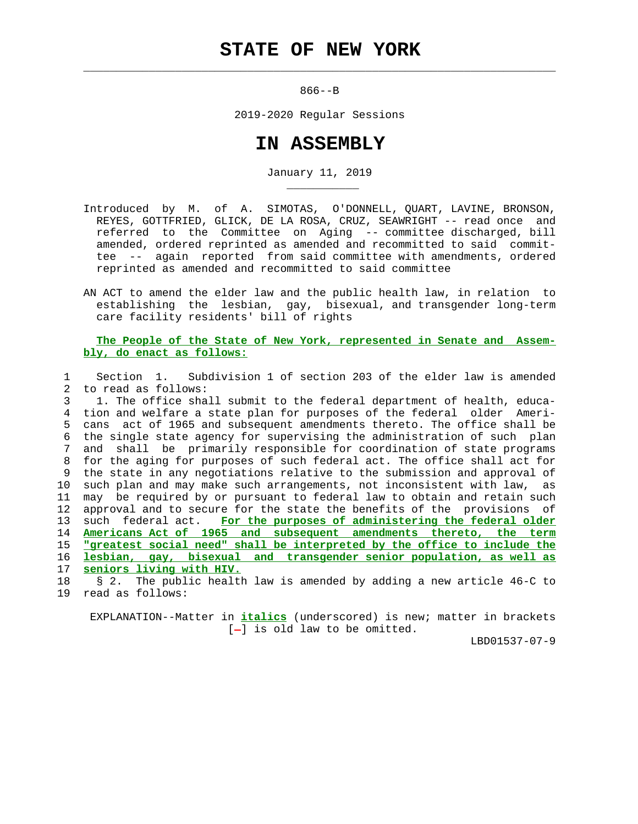$\mathcal{L}_\text{max} = \frac{1}{2} \sum_{i=1}^{n} \frac{1}{2} \sum_{i=1}^{n} \frac{1}{2} \sum_{i=1}^{n} \frac{1}{2} \sum_{i=1}^{n} \frac{1}{2} \sum_{i=1}^{n} \frac{1}{2} \sum_{i=1}^{n} \frac{1}{2} \sum_{i=1}^{n} \frac{1}{2} \sum_{i=1}^{n} \frac{1}{2} \sum_{i=1}^{n} \frac{1}{2} \sum_{i=1}^{n} \frac{1}{2} \sum_{i=1}^{n} \frac{1}{2} \sum_{i=1}^{n} \frac{1$ 

\_\_\_\_\_\_\_\_\_\_\_

866--B

2019-2020 Regular Sessions

## **IN ASSEMBLY**

January 11, 2019

- Introduced by M. of A. SIMOTAS, O'DONNELL, QUART, LAVINE, BRONSON, REYES, GOTTFRIED, GLICK, DE LA ROSA, CRUZ, SEAWRIGHT -- read once and referred to the Committee on Aging -- committee discharged, bill amended, ordered reprinted as amended and recommitted to said commit tee -- again reported from said committee with amendments, ordered reprinted as amended and recommitted to said committee
- AN ACT to amend the elder law and the public health law, in relation to establishing the lesbian, gay, bisexual, and transgender long-term care facility residents' bill of rights

 **The People of the State of New York, represented in Senate and Assem bly, do enact as follows:**

 1 Section 1. Subdivision 1 of section 203 of the elder law is amended 2 to read as follows:

 3 1. The office shall submit to the federal department of health, educa- 4 tion and welfare a state plan for purposes of the federal older Ameri- 5 cans act of 1965 and subsequent amendments thereto. The office shall be 6 the single state agency for supervising the administration of such plan 7 and shall be primarily responsible for coordination of state programs 8 for the aging for purposes of such federal act. The office shall act for 9 the state in any negotiations relative to the submission and approval of 10 such plan and may make such arrangements, not inconsistent with law, as 11 may be required by or pursuant to federal law to obtain and retain such 12 approval and to secure for the state the benefits of the provisions of 13 such federal act. **For the purposes of administering the federal older** 14 **Americans Act of 1965 and subsequent amendments thereto, the term** 15 **"greatest social need" shall be interpreted by the office to include the** 16 **lesbian, gay, bisexual and transgender senior population, as well as** 17 **seniors living with HIV.**

 18 § 2. The public health law is amended by adding a new article 46-C to 19 read as follows:

 EXPLANATION--Matter in **italics** (underscored) is new; matter in brackets  $[-]$  is old law to be omitted.

LBD01537-07-9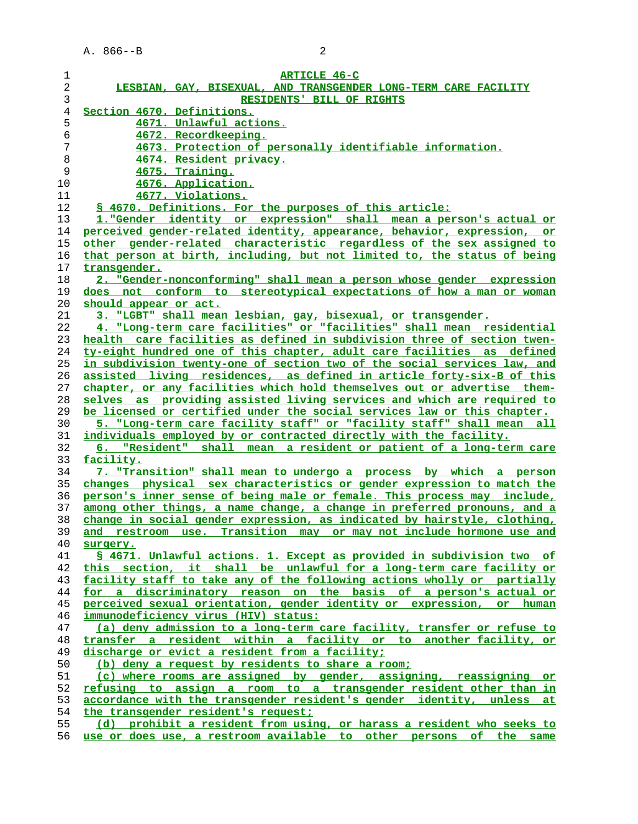| $\mathbf 1$    | <b>ARTICLE 46-C</b>                                                      |
|----------------|--------------------------------------------------------------------------|
| 2              | LESBIAN, GAY, BISEXUAL, AND TRANSGENDER LONG-TERM CARE FACILITY          |
| 3              | RESIDENTS' BILL OF RIGHTS                                                |
| $\overline{4}$ | Section 4670. Definitions.                                               |
| 5              | 4671. Unlawful actions.                                                  |
| б              | 4672. Recordkeeping.                                                     |
| 7              | 4673. Protection of personally identifiable information.                 |
| 8              | 4674. Resident privacy.                                                  |
| 9              | <u>4675. Training.</u>                                                   |
| 10             | 4676. Application.                                                       |
| 11             | 4677. Violations.                                                        |
| 12             |                                                                          |
|                | \$ 4670. Definitions. For the purposes of this article:                  |
| 13             | 1. "Gender identity or expression" shall mean a person's actual or       |
| 14             | perceived gender-related identity, appearance, behavior, expression, or  |
| 15             | other gender-related characteristic regardless of the sex assigned to    |
| 16             | that person at birth, including, but not limited to, the status of being |
| 17             | transgender.                                                             |
| 18             | 2. "Gender-nonconforming" shall mean a person whose gender expression    |
| 19             | does not conform to stereotypical expectations of how a man or woman     |
| 20             | should appear or act.                                                    |
| 21             | 3. "LGBT" shall mean lesbian, gay, bisexual, or transgender.             |
| 22             | 4. "Long-term care facilities" or "facilities" shall mean residential    |
| 23             | health care facilities as defined in subdivision three of section twen-  |
| 24             | ty-eight hundred one of this chapter, adult care facilities as defined   |
| 25             | in subdivision twenty-one of section two of the social services law, and |
| 26             | assisted living residences, as defined in article forty-six-B of this    |
| 27             | chapter, or any facilities which hold themselves out or advertise them-  |
| 28             | selves as providing assisted living services and which are required to   |
| 29             | be licensed or certified under the social services law or this chapter.  |
| 30             | 5. "Long-term care facility staff" or "facility staff" shall mean all    |
| 31             | individuals employed by or contracted directly with the facility.        |
| 32             | 6. "Resident" shall mean a resident or patient of a long-term care       |
| 33             | facility.                                                                |
| 34             | 7. "Transition" shall mean to undergo a process by which a person        |
| 35             | changes physical sex characteristics or gender expression to match the   |
|                |                                                                          |
| 36             | person's inner sense of being male or female. This process may include,  |
| 37             | among other things, a name change, a change in preferred pronouns, and a |
| 38             | change in social gender expression, as indicated by hairstyle, clothing, |
| 39             | and restroom use. Transition may or may not include hormone use and      |
| 40             | surgery.                                                                 |
| 41             | § 4671. Unlawful actions. 1. Except as provided in subdivision two of    |
| 42             | this section, it shall be unlawful for a long-term care facility or      |
| 43             | facility staff to take any of the following actions wholly or partially  |
| 44             | for a discriminatory reason on the basis of a person's actual or         |
| 45             | perceived sexual orientation, gender identity or expression, or human    |
| 46             | immunodeficiency virus (HIV) status:                                     |
| 47             | (a) deny admission to a long-term care facility, transfer or refuse to   |
| 48             | transfer a resident within a facility or to another facility, or         |
| 49             | discharge or evict a resident from a facility;                           |
| 50             | (b) deny a request by residents to share a room;                         |
| 51             | (c) where rooms are assigned by gender, assigning, reassigning or        |
| 52             | refusing to assign a room to a transgender resident other than in        |
| 53             | accordance with the transgender resident's gender identity, unless at    |
| 54             | the transgender resident's request;                                      |
| 55             | (d) prohibit a resident from using, or harass a resident who seeks to    |
| 56             | use or does use, a restroom available to other persons of the same       |
|                |                                                                          |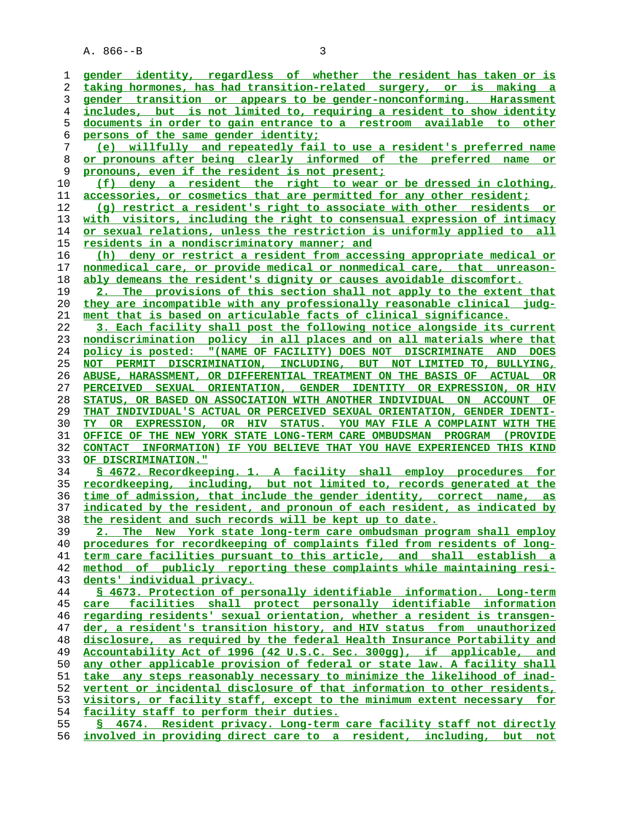A. 866--B 3

**gender identity, regardless of whether the resident has taken or is taking hormones, has had transition-related surgery, or is making a gender transition or appears to be gender-nonconforming. Harassment includes, but is not limited to, requiring a resident to show identity documents in order to gain entrance to a restroom available to other persons of the same gender identity; (e) willfully and repeatedly fail to use a resident's preferred name or pronouns after being clearly informed of the preferred name or pronouns, even if the resident is not present; (f) deny a resident the right to wear or be dressed in clothing, accessories, or cosmetics that are permitted for any other resident; (g) restrict a resident's right to associate with other residents or with visitors, including the right to consensual expression of intimacy or sexual relations, unless the restriction is uniformly applied to all residents in a nondiscriminatory manner; and (h) deny or restrict a resident from accessing appropriate medical or nonmedical care, or provide medical or nonmedical care, that unreason- ably demeans the resident's dignity or causes avoidable discomfort. 2. The provisions of this section shall not apply to the extent that they are incompatible with any professionally reasonable clinical judg- ment that is based on articulable facts of clinical significance. 3. Each facility shall post the following notice alongside its current nondiscrimination policy in all places and on all materials where that policy is posted: "(NAME OF FACILITY) DOES NOT DISCRIMINATE AND DOES NOT PERMIT DISCRIMINATION, INCLUDING, BUT NOT LIMITED TO, BULLYING, ABUSE, HARASSMENT, OR DIFFERENTIAL TREATMENT ON THE BASIS OF ACTUAL OR PERCEIVED SEXUAL ORIENTATION, GENDER IDENTITY OR EXPRESSION, OR HIV STATUS, OR BASED ON ASSOCIATION WITH ANOTHER INDIVIDUAL ON ACCOUNT OF THAT INDIVIDUAL'S ACTUAL OR PERCEIVED SEXUAL ORIENTATION, GENDER IDENTI- TY OR EXPRESSION, OR HIV STATUS. YOU MAY FILE A COMPLAINT WITH THE OFFICE OF THE NEW YORK STATE LONG-TERM CARE OMBUDSMAN PROGRAM (PROVIDE CONTACT INFORMATION) IF YOU BELIEVE THAT YOU HAVE EXPERIENCED THIS KIND OF DISCRIMINATION." § 4672. Recordkeeping. 1. A facility shall employ procedures for recordkeeping, including, but not limited to, records generated at the time of admission, that include the gender identity, correct name, as indicated by the resident, and pronoun of each resident, as indicated by the resident and such records will be kept up to date. 2. The New York state long-term care ombudsman program shall employ procedures for recordkeeping of complaints filed from residents of long- term care facilities pursuant to this article, and shall establish a method of publicly reporting these complaints while maintaining resi- dents' individual privacy. § 4673. Protection of personally identifiable information. Long-term care facilities shall protect personally identifiable information regarding residents' sexual orientation, whether a resident is transgen- der, a resident's transition history, and HIV status from unauthorized disclosure, as required by the federal Health Insurance Portability and Accountability Act of 1996 (42 U.S.C. Sec. 300gg), if applicable, and any other applicable provision of federal or state law. A facility shall take any steps reasonably necessary to minimize the likelihood of inad- vertent or incidental disclosure of that information to other residents, visitors, or facility staff, except to the minimum extent necessary for facility staff to perform their duties. § 4674. Resident privacy. Long-term care facility staff not directly involved in providing direct care to a resident, including, but not**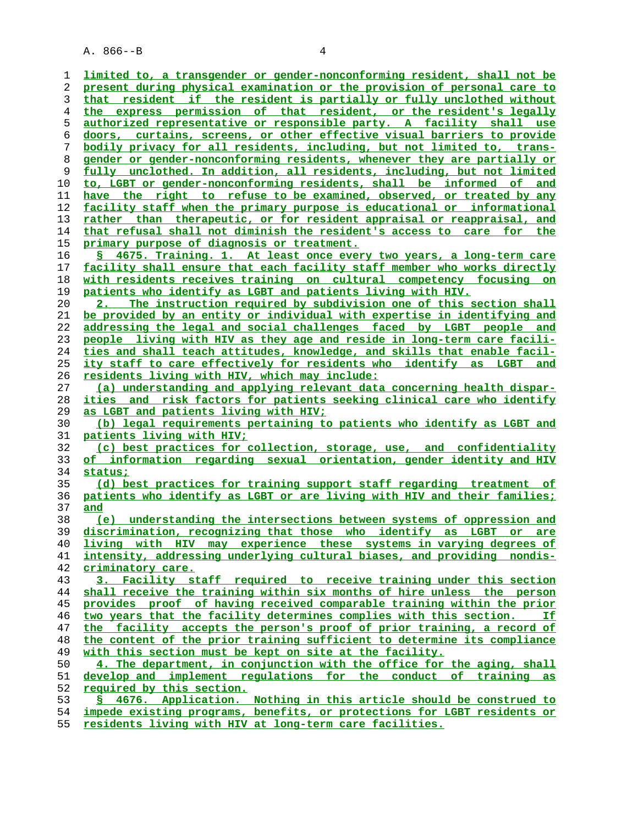A. 866--B 4

**limited to, a transgender or gender-nonconforming resident, shall not be present during physical examination or the provision of personal care to that resident if the resident is partially or fully unclothed without the express permission of that resident, or the resident's legally authorized representative or responsible party. A facility shall use doors, curtains, screens, or other effective visual barriers to provide bodily privacy for all residents, including, but not limited to, trans- gender or gender-nonconforming residents, whenever they are partially or fully unclothed. In addition, all residents, including, but not limited to, LGBT or gender-nonconforming residents, shall be informed of and have the right to refuse to be examined, observed, or treated by any facility staff when the primary purpose is educational or informational rather than therapeutic, or for resident appraisal or reappraisal, and that refusal shall not diminish the resident's access to care for the primary purpose of diagnosis or treatment. § 4675. Training. 1. At least once every two years, a long-term care facility shall ensure that each facility staff member who works directly with residents receives training on cultural competency focusing on patients who identify as LGBT and patients living with HIV. 2. The instruction required by subdivision one of this section shall be provided by an entity or individual with expertise in identifying and addressing the legal and social challenges faced by LGBT people and people living with HIV as they age and reside in long-term care facili- ties and shall teach attitudes, knowledge, and skills that enable facil- ity staff to care effectively for residents who identify as LGBT and residents living with HIV, which may include: (a) understanding and applying relevant data concerning health dispar- ities and risk factors for patients seeking clinical care who identify as LGBT and patients living with HIV; (b) legal requirements pertaining to patients who identify as LGBT and patients living with HIV; (c) best practices for collection, storage, use, and confidentiality of information regarding sexual orientation, gender identity and HIV status; (d) best practices for training support staff regarding treatment of patients who identify as LGBT or are living with HIV and their families; and (e) understanding the intersections between systems of oppression and discrimination, recognizing that those who identify as LGBT or are living with HIV may experience these systems in varying degrees of intensity, addressing underlying cultural biases, and providing nondis- criminatory care. 3. Facility staff required to receive training under this section shall receive the training within six months of hire unless the person provides proof of having received comparable training within the prior two years that the facility determines complies with this section. If the facility accepts the person's proof of prior training, a record of the content of the prior training sufficient to determine its compliance** with this section must be kept on site at the facility. **4. The department, in conjunction with the office for the aging, shall develop and implement regulations for the conduct of training as required by this section. § 4676. Application. Nothing in this article should be construed to impede existing programs, benefits, or protections for LGBT residents or residents living with HIV at long-term care facilities.**